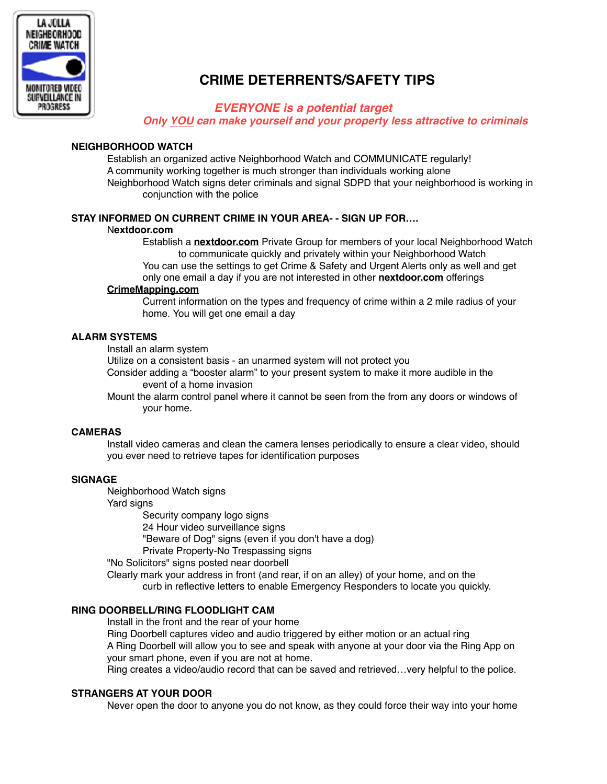

# **CRIME DETERRENTS/SAFETY TIPS**

## *EVERYONE is a potential target*

*Only YOU can make yourself and your property less attractive to criminals*

## **NEIGHBORHOOD WATCH**

Establish an organized active Neighborhood Watch and COMMUNICATE regularly! A community working together is much stronger than individuals working alone Neighborhood Watch signs deter criminals and signal SDPD that your neighborhood is working in conjunction with the police

## **STAY INFORMED ON CURRENT CRIME IN YOUR AREA- - SIGN UP FOR….**

#### N**extdoor.com**

Establish a **[nextdoor.com](http://nextdoor.com)** Private Group for members of your local Neighborhood Watch to communicate quickly and privately within your Neighborhood Watch You can use the settings to get Crime & Safety and Urgent Alerts only as well and get only one email a day if you are not interested in other **[nextdoor.com](http://nextdoor.com)** offerings

#### **[CrimeMapping.com](http://CrimeMapping.com)**

Current information on the types and frequency of crime within a 2 mile radius of your home. You will get one email a day

## **ALARM SYSTEMS**

Install an alarm system

Utilize on a consistent basis - an unarmed system will not protect you

 Consider adding a "booster alarm" to your present system to make it more audible in the event of a home invasion

Mount the alarm control panel where it cannot be seen from the from any doors or windows of your home.

#### **CAMERAS**

 Install video cameras and clean the camera lenses periodically to ensure a clear video, should you ever need to retrieve tapes for identification purposes

#### **SIGNAGE**

Neighborhood Watch signs

Yard signs

Security company logo signs

24 Hour video surveillance signs

"Beware of Dog" signs (even if you don't have a dog)

Private Property-No Trespassing signs

"No Solicitors" signs posted near doorbell

 Clearly mark your address in front (and rear, if on an alley) of your home, and on the curb in reflective letters to enable Emergency Responders to locate you quickly.

## **RING DOORBELL/RING FLOODLIGHT CAM**

Install in the front and the rear of your home

Ring Doorbell captures video and audio triggered by either motion or an actual ring A Ring Doorbell will allow you to see and speak with anyone at your door via the Ring App on your smart phone, even if you are not at home.

Ring creates a video/audio record that can be saved and retrieved…very helpful to the police.

## **STRANGERS AT YOUR DOOR**

Never open the door to anyone you do not know, as they could force their way into your home